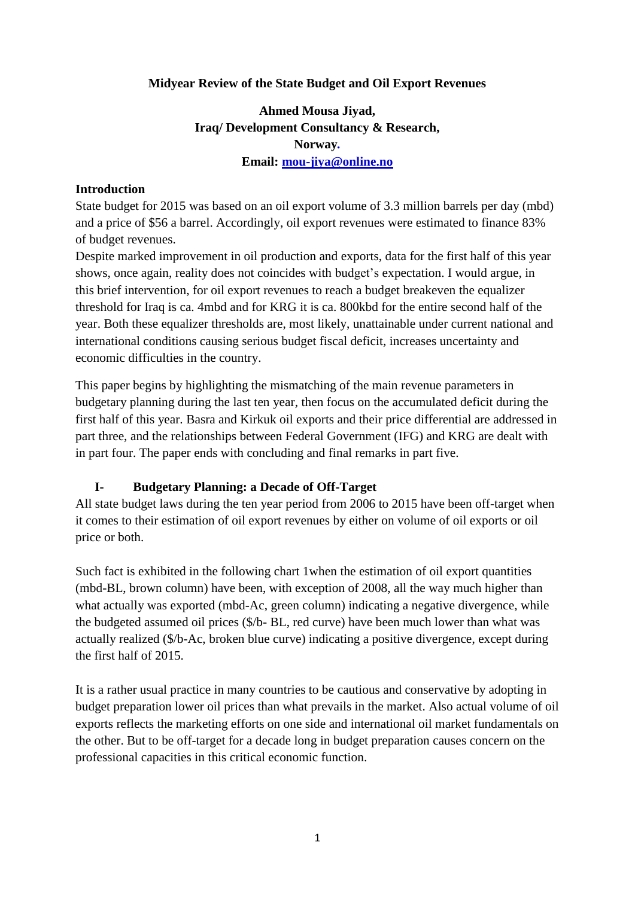## **Midyear Review of the State Budget and Oil Export Revenues**

# **Ahmed Mousa Jiyad, Iraq/ Development Consultancy & Research, Norway***.* **Email: [mou-jiya@online.no](mailto:mou-jiya@online.no)**

#### **Introduction**

State budget for 2015 was based on an oil export volume of 3.3 million barrels per day (mbd) and a price of \$56 a barrel. Accordingly, oil export revenues were estimated to finance 83% of budget revenues.

Despite marked improvement in oil production and exports, data for the first half of this year shows, once again, reality does not coincides with budget's expectation. I would argue, in this brief intervention, for oil export revenues to reach a budget breakeven the equalizer threshold for Iraq is ca. 4mbd and for KRG it is ca. 800kbd for the entire second half of the year. Both these equalizer thresholds are, most likely, unattainable under current national and international conditions causing serious budget fiscal deficit, increases uncertainty and economic difficulties in the country.

This paper begins by highlighting the mismatching of the main revenue parameters in budgetary planning during the last ten year, then focus on the accumulated deficit during the first half of this year. Basra and Kirkuk oil exports and their price differential are addressed in part three, and the relationships between Federal Government (IFG) and KRG are dealt with in part four. The paper ends with concluding and final remarks in part five.

#### **I- Budgetary Planning: a Decade of Off-Target**

All state budget laws during the ten year period from 2006 to 2015 have been off-target when it comes to their estimation of oil export revenues by either on volume of oil exports or oil price or both.

Such fact is exhibited in the following chart 1when the estimation of oil export quantities (mbd-BL, brown column) have been, with exception of 2008, all the way much higher than what actually was exported (mbd-Ac, green column) indicating a negative divergence, while the budgeted assumed oil prices (\$/b- BL, red curve) have been much lower than what was actually realized (\$/b-Ac, broken blue curve) indicating a positive divergence, except during the first half of 2015.

It is a rather usual practice in many countries to be cautious and conservative by adopting in budget preparation lower oil prices than what prevails in the market. Also actual volume of oil exports reflects the marketing efforts on one side and international oil market fundamentals on the other. But to be off-target for a decade long in budget preparation causes concern on the professional capacities in this critical economic function.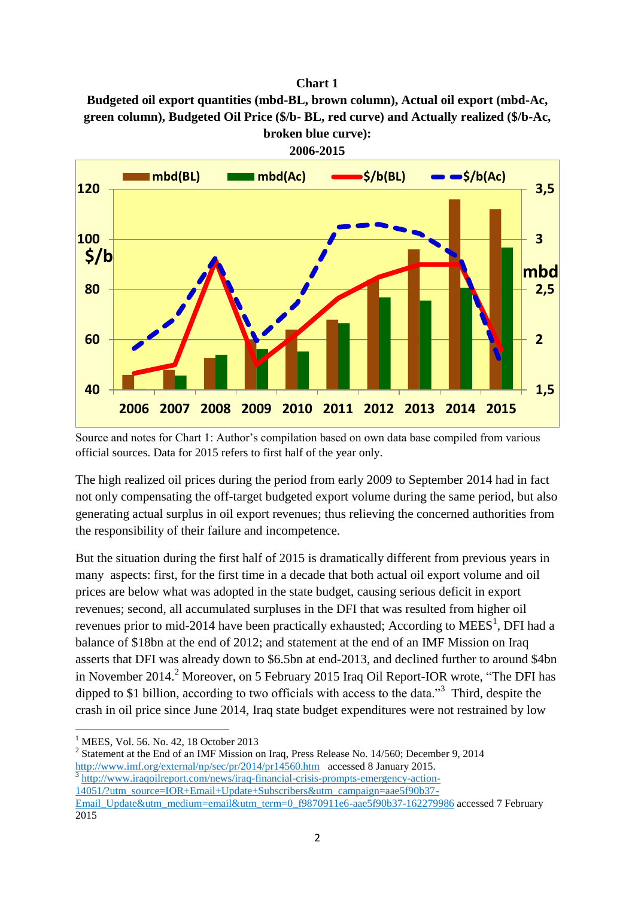#### **Chart 1**

**Budgeted oil export quantities (mbd-BL, brown column), Actual oil export (mbd-Ac, green column), Budgeted Oil Price (\$/b- BL, red curve) and Actually realized (\$/b-Ac, broken blue curve):** 

**2006-2015**



Source and notes for Chart 1: Author's compilation based on own data base compiled from various official sources. Data for 2015 refers to first half of the year only.

The high realized oil prices during the period from early 2009 to September 2014 had in fact not only compensating the off-target budgeted export volume during the same period, but also generating actual surplus in oil export revenues; thus relieving the concerned authorities from the responsibility of their failure and incompetence.

But the situation during the first half of 2015 is dramatically different from previous years in many aspects: first, for the first time in a decade that both actual oil export volume and oil prices are below what was adopted in the state budget, causing serious deficit in export revenues; second, all accumulated surpluses in the DFI that was resulted from higher oil revenues prior to mid-2014 have been practically exhausted; According to MEES<sup>1</sup>, DFI had a balance of \$18bn at the end of 2012; and statement at the end of an IMF Mission on Iraq asserts that DFI was already down to \$6.5bn at end-2013, and declined further to around \$4bn in November 2014.<sup>2</sup> Moreover, on 5 February 2015 Iraq Oil Report-IOR wrote, "The DFI has dipped to \$1 billion, according to two officials with access to the data."<sup>3</sup> Third, despite the crash in oil price since June 2014, Iraq state budget expenditures were not restrained by low

**.** 

 $2^{2}$  Statement at the End of an IMF Mission on Iraq, Press Release No. 14/560; December 9, 2014 <http://www.imf.org/external/np/sec/pr/2014/pr14560.htm>accessed 8 January 2015. 3 [http://www.iraqoilreport.com/news/iraq-financial-crisis-prompts-emergency-action-](http://www.iraqoilreport.com/news/iraq-financial-crisis-prompts-emergency-action-14051/?utm_source=IOR+Email+Update+Subscribers&utm_campaign=aae5f90b37-Email_Update&utm_medium=email&utm_term=0_f9870911e6-aae5f90b37-162279986)[14051/?utm\\_source=IOR+Email+Update+Subscribers&utm\\_campaign=aae5f90b37-](http://www.iraqoilreport.com/news/iraq-financial-crisis-prompts-emergency-action-14051/?utm_source=IOR+Email+Update+Subscribers&utm_campaign=aae5f90b37-Email_Update&utm_medium=email&utm_term=0_f9870911e6-aae5f90b37-162279986)

 $<sup>1</sup>$  MEES, Vol. 56, No. 42, 18 October 2013</sup>

[Email\\_Update&utm\\_medium=email&utm\\_term=0\\_f9870911e6-aae5f90b37-162279986](http://www.iraqoilreport.com/news/iraq-financial-crisis-prompts-emergency-action-14051/?utm_source=IOR+Email+Update+Subscribers&utm_campaign=aae5f90b37-Email_Update&utm_medium=email&utm_term=0_f9870911e6-aae5f90b37-162279986) accessed 7 February 2015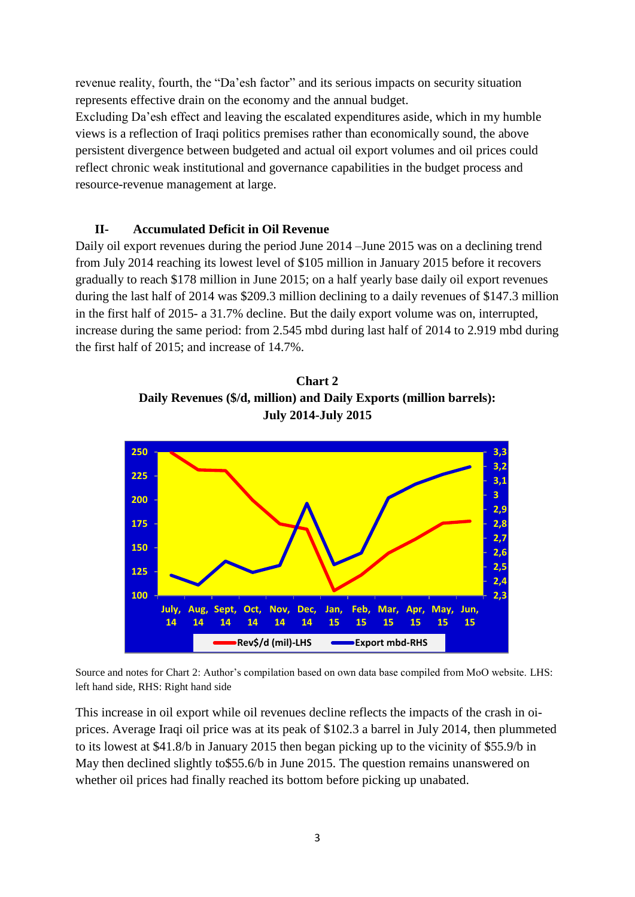revenue reality, fourth, the "Da'esh factor" and its serious impacts on security situation represents effective drain on the economy and the annual budget.

Excluding Da'esh effect and leaving the escalated expenditures aside, which in my humble views is a reflection of Iraqi politics premises rather than economically sound, the above persistent divergence between budgeted and actual oil export volumes and oil prices could reflect chronic weak institutional and governance capabilities in the budget process and resource-revenue management at large.

## **II- Accumulated Deficit in Oil Revenue**

Daily oil export revenues during the period June 2014 –June 2015 was on a declining trend from July 2014 reaching its lowest level of \$105 million in January 2015 before it recovers gradually to reach \$178 million in June 2015; on a half yearly base daily oil export revenues during the last half of 2014 was \$209.3 million declining to a daily revenues of \$147.3 million in the first half of 2015- a 31.7% decline. But the daily export volume was on, interrupted, increase during the same period: from 2.545 mbd during last half of 2014 to 2.919 mbd during the first half of 2015; and increase of 14.7%.

**Chart 2 Daily Revenues (\$/d, million) and Daily Exports (million barrels): July 2014-July 2015**



Source and notes for Chart 2: Author's compilation based on own data base compiled from MoO website. LHS: left hand side, RHS: Right hand side

This increase in oil export while oil revenues decline reflects the impacts of the crash in oiprices. Average Iraqi oil price was at its peak of \$102.3 a barrel in July 2014, then plummeted to its lowest at \$41.8/b in January 2015 then began picking up to the vicinity of \$55.9/b in May then declined slightly to \$55.6/b in June 2015. The question remains unanswered on whether oil prices had finally reached its bottom before picking up unabated.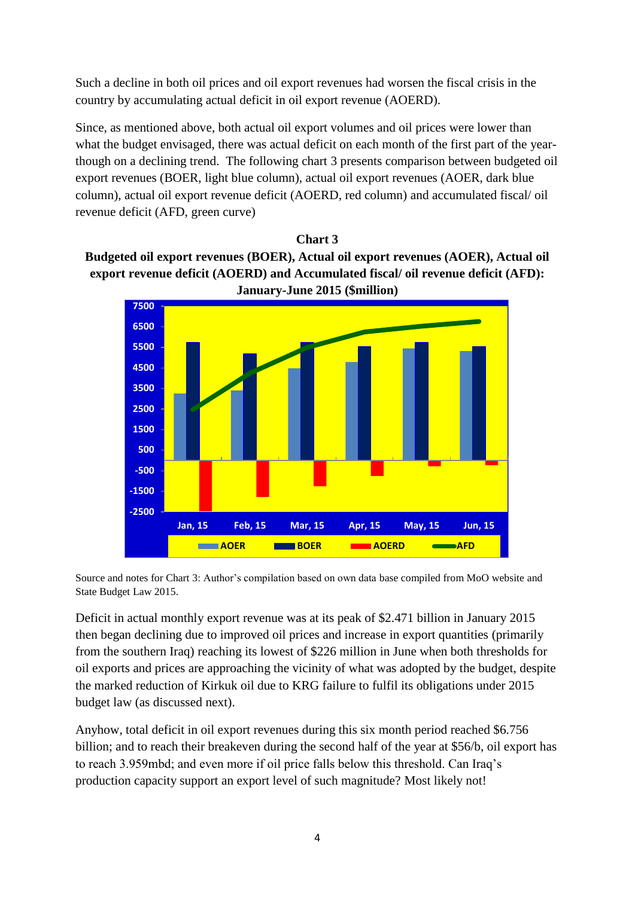Such a decline in both oil prices and oil export revenues had worsen the fiscal crisis in the country by accumulating actual deficit in oil export revenue (AOERD).

Since, as mentioned above, both actual oil export volumes and oil prices were lower than what the budget envisaged, there was actual deficit on each month of the first part of the yearthough on a declining trend. The following chart 3 presents comparison between budgeted oil export revenues (BOER, light blue column), actual oil export revenues (AOER, dark blue column), actual oil export revenue deficit (AOERD, red column) and accumulated fiscal/ oil revenue deficit (AFD, green curve)

# **Chart 3 Budgeted oil export revenues (BOER), Actual oil export revenues (AOER), Actual oil export revenue deficit (AOERD) and Accumulated fiscal/ oil revenue deficit (AFD): January-June 2015 (\$million)**



Source and notes for Chart 3: Author's compilation based on own data base compiled from MoO website and State Budget Law 2015.

Deficit in actual monthly export revenue was at its peak of \$2.471 billion in January 2015 then began declining due to improved oil prices and increase in export quantities (primarily from the southern Iraq) reaching its lowest of \$226 million in June when both thresholds for oil exports and prices are approaching the vicinity of what was adopted by the budget, despite the marked reduction of Kirkuk oil due to KRG failure to fulfil its obligations under 2015 budget law (as discussed next).

Anyhow, total deficit in oil export revenues during this six month period reached \$6.756 billion; and to reach their breakeven during the second half of the year at \$56/b, oil export has to reach 3.959mbd; and even more if oil price falls below this threshold. Can Iraq's production capacity support an export level of such magnitude? Most likely not!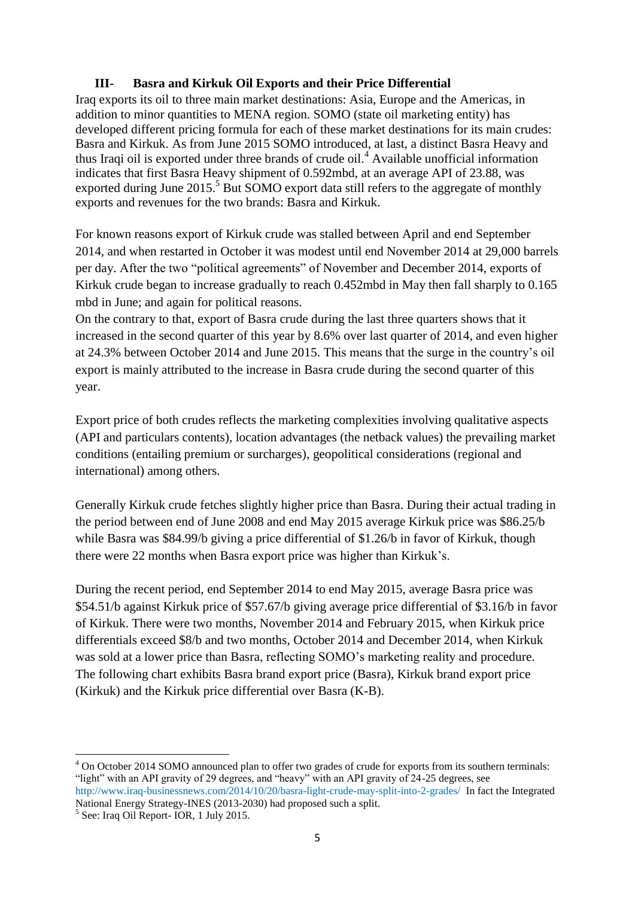## **III- Basra and Kirkuk Oil Exports and their Price Differential**

Iraq exports its oil to three main market destinations: Asia, Europe and the Americas, in addition to minor quantities to MENA region. SOMO (state oil marketing entity) has developed different pricing formula for each of these market destinations for its main crudes: Basra and Kirkuk. As from June 2015 SOMO introduced, at last, a distinct Basra Heavy and thus Iraqi oil is exported under three brands of crude oil.<sup>4</sup> Available unofficial information indicates that first Basra Heavy shipment of 0.592mbd, at an average API of 23.88, was exported during June 2015.<sup>5</sup> But SOMO export data still refers to the aggregate of monthly exports and revenues for the two brands: Basra and Kirkuk.

For known reasons export of Kirkuk crude was stalled between April and end September 2014, and when restarted in October it was modest until end November 2014 at 29,000 barrels per day. After the two "political agreements" of November and December 2014, exports of Kirkuk crude began to increase gradually to reach 0.452mbd in May then fall sharply to 0.165 mbd in June; and again for political reasons.

On the contrary to that, export of Basra crude during the last three quarters shows that it increased in the second quarter of this year by 8.6% over last quarter of 2014, and even higher at 24.3% between October 2014 and June 2015. This means that the surge in the country's oil export is mainly attributed to the increase in Basra crude during the second quarter of this year.

Export price of both crudes reflects the marketing complexities involving qualitative aspects (API and particulars contents), location advantages (the netback values) the prevailing market conditions (entailing premium or surcharges), geopolitical considerations (regional and international) among others.

Generally Kirkuk crude fetches slightly higher price than Basra. During their actual trading in the period between end of June 2008 and end May 2015 average Kirkuk price was \$86.25/b while Basra was \$84.99/b giving a price differential of \$1.26/b in favor of Kirkuk, though there were 22 months when Basra export price was higher than Kirkuk's.

During the recent period, end September 2014 to end May 2015, average Basra price was \$54.51/b against Kirkuk price of \$57.67/b giving average price differential of \$3.16/b in favor of Kirkuk. There were two months, November 2014 and February 2015, when Kirkuk price differentials exceed \$8/b and two months, October 2014 and December 2014, when Kirkuk was sold at a lower price than Basra, reflecting SOMO's marketing reality and procedure. The following chart exhibits Basra brand export price (Basra), Kirkuk brand export price (Kirkuk) and the Kirkuk price differential over Basra (K-B).

**<sup>.</sup>** <sup>4</sup> On October 2014 SOMO announced plan to offer two grades of crude for exports from its southern terminals: "light" with an API gravity of 29 degrees, and "heavy" with an API gravity of 24-25 degrees, see http://www.iraq-businessnews.com/2014/10/20/basra-light-crude-may-split-into-2-grades/ In fact the Integrated

National Energy Strategy-INES (2013-2030) had proposed such a split.

<sup>5</sup> See: Iraq Oil Report- IOR, 1 July 2015.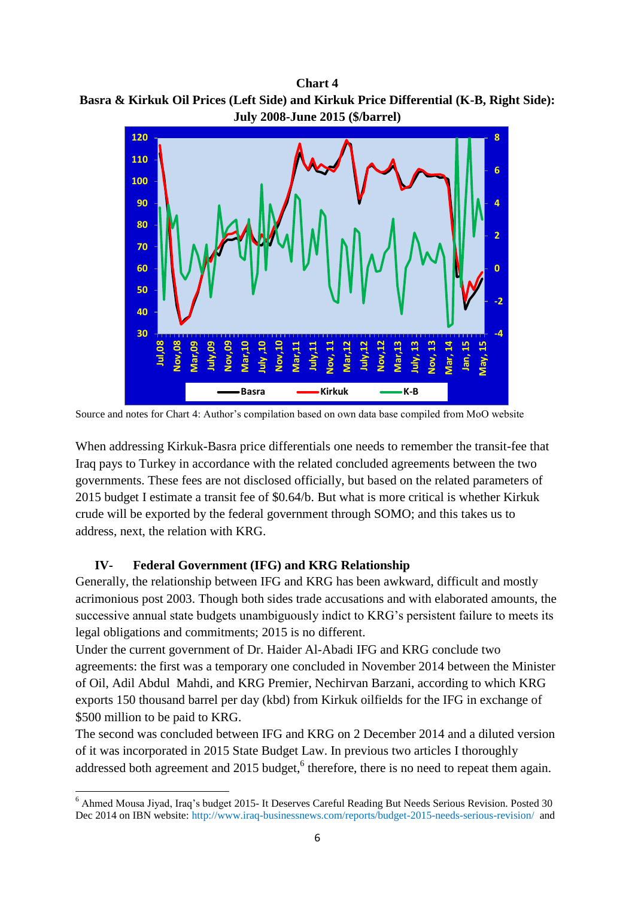**Chart 4 Basra & Kirkuk Oil Prices (Left Side) and Kirkuk Price Differential (K-B, Right Side): July 2008-June 2015 (\$/barrel)**



Source and notes for Chart 4: Author's compilation based on own data base compiled from MoO website

When addressing Kirkuk-Basra price differentials one needs to remember the transit-fee that Iraq pays to Turkey in accordance with the related concluded agreements between the two governments. These fees are not disclosed officially, but based on the related parameters of 2015 budget I estimate a transit fee of \$0.64/b. But what is more critical is whether Kirkuk crude will be exported by the federal government through SOMO; and this takes us to address, next, the relation with KRG.

#### **IV- Federal Government (IFG) and KRG Relationship**

Generally, the relationship between IFG and KRG has been awkward, difficult and mostly acrimonious post 2003. Though both sides trade accusations and with elaborated amounts, the successive annual state budgets unambiguously indict to KRG's persistent failure to meets its legal obligations and commitments; 2015 is no different.

Under the current government of Dr. Haider Al-Abadi IFG and KRG conclude two agreements: the first was a temporary one concluded in November 2014 between the Minister of Oil, Adil Abdul Mahdi, and KRG Premier, Nechirvan Barzani, according to which KRG exports 150 thousand barrel per day (kbd) from Kirkuk oilfields for the IFG in exchange of \$500 million to be paid to KRG.

The second was concluded between IFG and KRG on 2 December 2014 and a diluted version of it was incorporated in 2015 State Budget Law. In previous two articles I thoroughly addressed both agreement and 2015 budget,  $6$  therefore, there is no need to repeat them again.

**<sup>.</sup>** <sup>6</sup> Ahmed Mousa Jiyad, Iraq's budget 2015- It Deserves Careful Reading But Needs Serious Revision. Posted 30 Dec 2014 on IBN website: http://www.iraq-businessnews.com/reports/budget-2015-needs-serious-revision/ and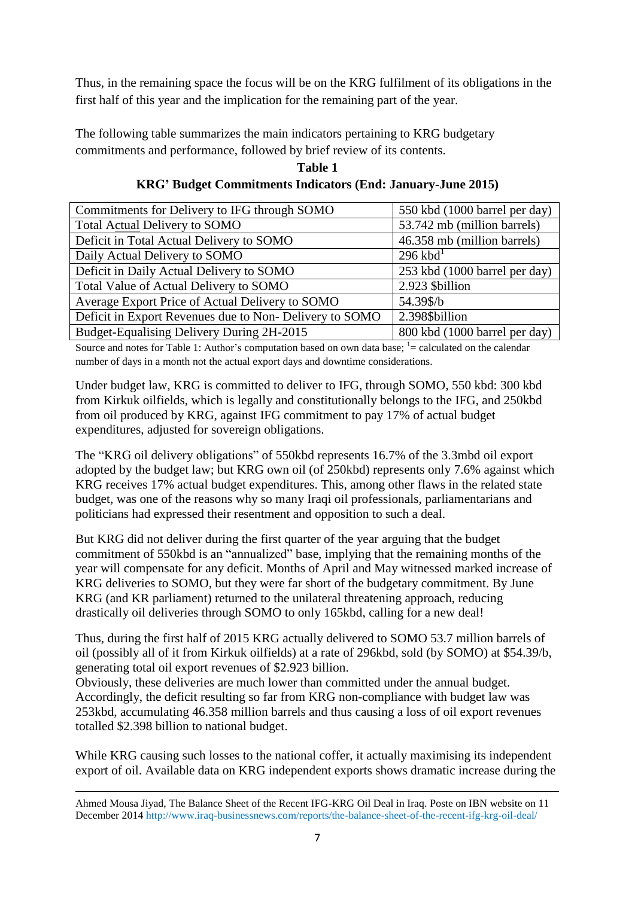Thus, in the remaining space the focus will be on the KRG fulfilment of its obligations in the first half of this year and the implication for the remaining part of the year.

The following table summarizes the main indicators pertaining to KRG budgetary commitments and performance, followed by brief review of its contents.

| Table 1                                                     |  |
|-------------------------------------------------------------|--|
| KRG' Budget Commitments Indicators (End: January-June 2015) |  |

| Commitments for Delivery to IFG through SOMO           | 550 kbd (1000 barrel per day) |
|--------------------------------------------------------|-------------------------------|
| Total Actual Delivery to SOMO                          | 53.742 mb (million barrels)   |
| Deficit in Total Actual Delivery to SOMO               | 46.358 mb (million barrels)   |
| Daily Actual Delivery to SOMO                          | $296$ kbd <sup>1</sup>        |
| Deficit in Daily Actual Delivery to SOMO               | 253 kbd (1000 barrel per day) |
| Total Value of Actual Delivery to SOMO                 | 2.923 \$billion               |
| Average Export Price of Actual Delivery to SOMO        | 54.39\$/b                     |
| Deficit in Export Revenues due to Non-Delivery to SOMO | 2.398\$billion                |
| Budget-Equalising Delivery During 2H-2015              | 800 kbd (1000 barrel per day) |

Source and notes for Table 1: Author's computation based on own data base;  $\frac{1}{x}$  calculated on the calendar number of days in a month not the actual export days and downtime considerations.

Under budget law, KRG is committed to deliver to IFG, through SOMO, 550 kbd: 300 kbd from Kirkuk oilfields, which is legally and constitutionally belongs to the IFG, and 250kbd from oil produced by KRG, against IFG commitment to pay 17% of actual budget expenditures, adjusted for sovereign obligations.

The "KRG oil delivery obligations" of 550kbd represents 16.7% of the 3.3mbd oil export adopted by the budget law; but KRG own oil (of 250kbd) represents only 7.6% against which KRG receives 17% actual budget expenditures. This, among other flaws in the related state budget, was one of the reasons why so many Iraqi oil professionals, parliamentarians and politicians had expressed their resentment and opposition to such a deal.

But KRG did not deliver during the first quarter of the year arguing that the budget commitment of 550kbd is an "annualized" base, implying that the remaining months of the year will compensate for any deficit. Months of April and May witnessed marked increase of KRG deliveries to SOMO, but they were far short of the budgetary commitment. By June KRG (and KR parliament) returned to the unilateral threatening approach, reducing drastically oil deliveries through SOMO to only 165kbd, calling for a new deal!

Thus, during the first half of 2015 KRG actually delivered to SOMO 53.7 million barrels of oil (possibly all of it from Kirkuk oilfields) at a rate of 296kbd, sold (by SOMO) at \$54.39/b, generating total oil export revenues of \$2.923 billion.

Obviously, these deliveries are much lower than committed under the annual budget. Accordingly, the deficit resulting so far from KRG non-compliance with budget law was 253kbd, accumulating 46.358 million barrels and thus causing a loss of oil export revenues totalled \$2.398 billion to national budget.

While KRG causing such losses to the national coffer, it actually maximising its independent export of oil. Available data on KRG independent exports shows dramatic increase during the

 $\overline{a}$ Ahmed Mousa Jiyad, The Balance Sheet of the Recent IFG-KRG Oil Deal in Iraq. Poste on IBN website on 11 December 2014 http://www.iraq-businessnews.com/reports/the-balance-sheet-of-the-recent-ifg-krg-oil-deal/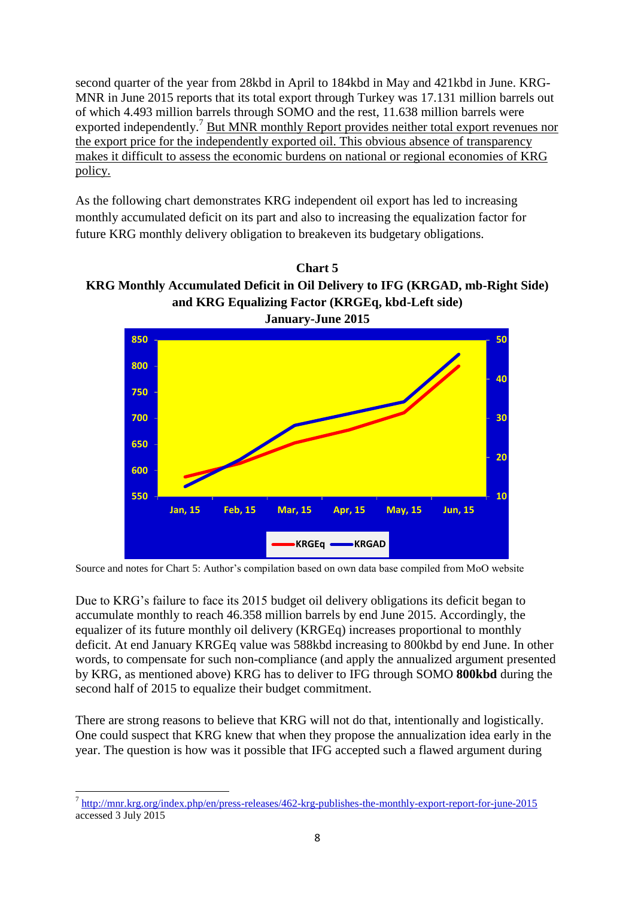second quarter of the year from 28kbd in April to 184kbd in May and 421kbd in June. KRG-MNR in June 2015 reports that its total export through Turkey was 17.131 million barrels out of which 4.493 million barrels through SOMO and the rest, 11.638 million barrels were exported independently.<sup>7</sup> But MNR monthly Report provides neither total export revenues nor the export price for the independently exported oil. This obvious absence of transparency makes it difficult to assess the economic burdens on national or regional economies of KRG policy.

As the following chart demonstrates KRG independent oil export has led to increasing monthly accumulated deficit on its part and also to increasing the equalization factor for future KRG monthly delivery obligation to breakeven its budgetary obligations.





Source and notes for Chart 5: Author's compilation based on own data base compiled from MoO website

Due to KRG's failure to face its 2015 budget oil delivery obligations its deficit began to accumulate monthly to reach 46.358 million barrels by end June 2015. Accordingly, the equalizer of its future monthly oil delivery (KRGEq) increases proportional to monthly deficit. At end January KRGEq value was 588kbd increasing to 800kbd by end June. In other words, to compensate for such non-compliance (and apply the annualized argument presented by KRG, as mentioned above) KRG has to deliver to IFG through SOMO **800kbd** during the second half of 2015 to equalize their budget commitment.

There are strong reasons to believe that KRG will not do that, intentionally and logistically. One could suspect that KRG knew that when they propose the annualization idea early in the year. The question is how was it possible that IFG accepted such a flawed argument during

<sup>7&</sup>lt;br>http://mnr.krg.org/index.php/en/press-releases/462-krg-publishes-the-monthly-export-report-for-june-2015 accessed 3 July 2015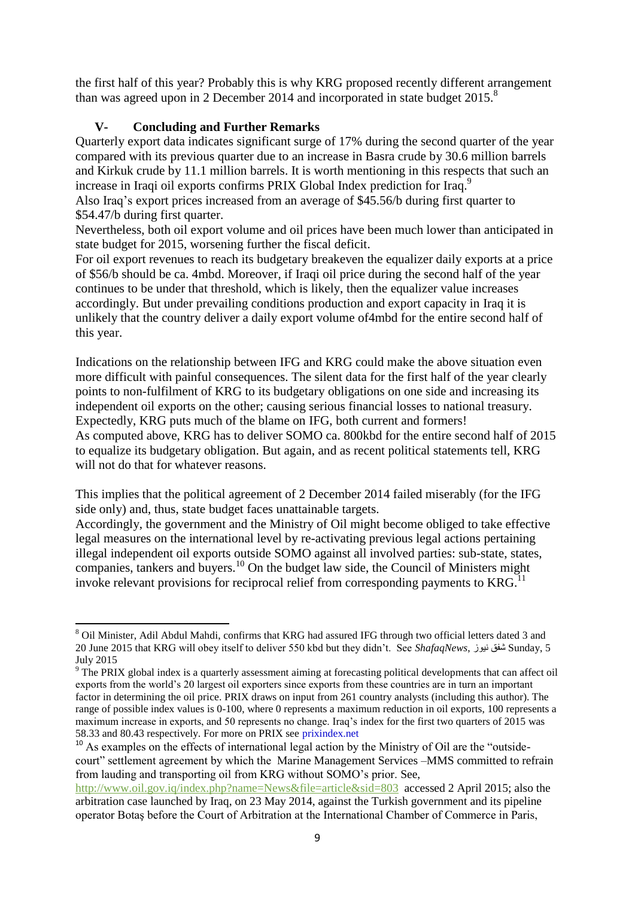the first half of this year? Probably this is why KRG proposed recently different arrangement than was agreed upon in 2 December 2014 and incorporated in state budget  $2015$ .<sup>8</sup>

# **V- Concluding and Further Remarks**

**.** 

Quarterly export data indicates significant surge of 17% during the second quarter of the year compared with its previous quarter due to an increase in Basra crude by 30.6 million barrels and Kirkuk crude by 11.1 million barrels. It is worth mentioning in this respects that such an increase in Iraqi oil exports confirms PRIX Global Index prediction for Iraq.<sup>9</sup> Also Iraq's export prices increased from an average of \$45.56/b during first quarter to \$54.47/b during first quarter.

Nevertheless, both oil export volume and oil prices have been much lower than anticipated in state budget for 2015, worsening further the fiscal deficit.

For oil export revenues to reach its budgetary breakeven the equalizer daily exports at a price of \$56/b should be ca. 4mbd. Moreover, if Iraqi oil price during the second half of the year continues to be under that threshold, which is likely, then the equalizer value increases accordingly. But under prevailing conditions production and export capacity in Iraq it is unlikely that the country deliver a daily export volume of4mbd for the entire second half of this year.

Indications on the relationship between IFG and KRG could make the above situation even more difficult with painful consequences. The silent data for the first half of the year clearly points to non-fulfilment of KRG to its budgetary obligations on one side and increasing its independent oil exports on the other; causing serious financial losses to national treasury. Expectedly, KRG puts much of the blame on IFG, both current and formers! As computed above, KRG has to deliver SOMO ca. 800kbd for the entire second half of 2015 to equalize its budgetary obligation. But again, and as recent political statements tell, KRG will not do that for whatever reasons.

This implies that the political agreement of 2 December 2014 failed miserably (for the IFG side only) and, thus, state budget faces unattainable targets.

Accordingly, the government and the Ministry of Oil might become obliged to take effective legal measures on the international level by re-activating previous legal actions pertaining illegal independent oil exports outside SOMO against all involved parties: sub-state, states, companies, tankers and buyers.<sup>10</sup> On the budget law side, the Council of Ministers might invoke relevant provisions for reciprocal relief from corresponding payments to  $KRG$ <sup>11</sup>

<sup>8</sup> Oil Minister, Adil Abdul Mahdi, confirms that KRG had assured IFG through two official letters dated 3 and 20 June 2015 that KRG will obey itself to deliver 550 kbd but they didn't. See *ShafaqNews*, نيوز شفق Sunday, 5 July 2015

<sup>&</sup>lt;sup>9</sup> The PRIX global index is a quarterly assessment aiming at forecasting political developments that can affect oil exports from the world's 20 largest oil exporters since exports from these countries are in turn an important factor in determining the oil price. PRIX draws on input from 261 country analysts (including this author). The range of possible index values is 0-100, where 0 represents a maximum reduction in oil exports, 100 represents a maximum increase in exports, and 50 represents no change. Iraq's index for the first two quarters of 2015 was 58.33 and 80.43 respectively. For more on PRIX see prixindex.net

<sup>&</sup>lt;sup>10</sup> As examples on the effects of international legal action by the Ministry of Oil are the "outsidecourt" settlement agreement by which the Marine Management Services –MMS committed to refrain from lauding and transporting oil from KRG without SOMO's prior. See,

<http://www.oil.gov.iq/index.php?name=News&file=article&sid=803>accessed 2 April 2015; also the arbitration case launched by Iraq, on 23 May 2014, against the Turkish government and its pipeline operator Botaş before the Court of Arbitration at the International Chamber of Commerce in Paris,